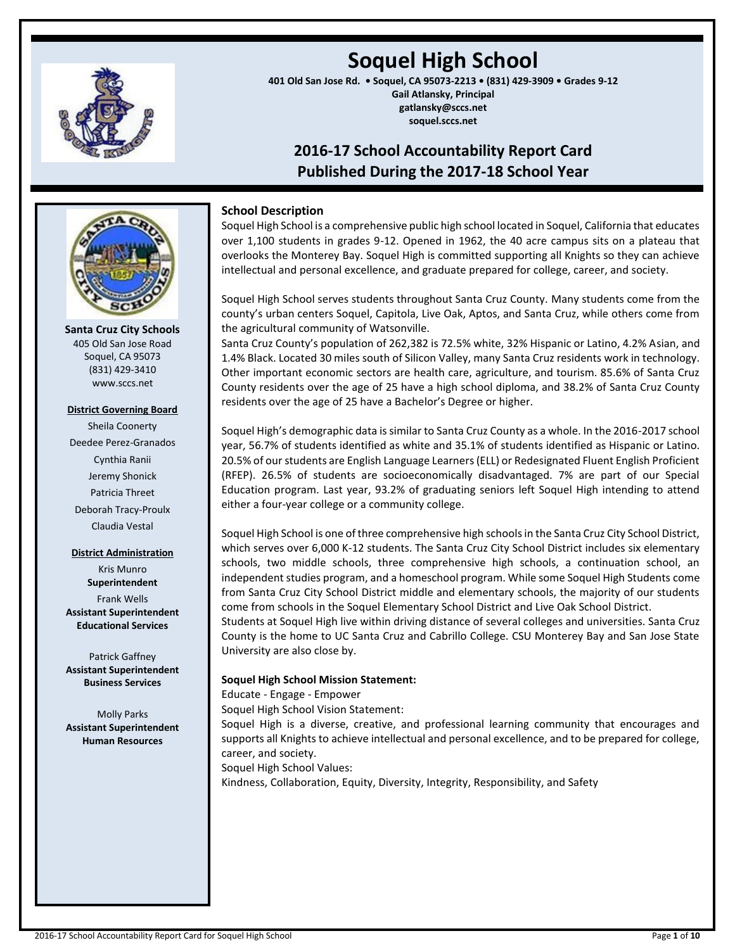

# **Soquel High School**

**401 Old San Jose Rd. • Soquel, CA 95073-2213 • (831) 429-3909 • Grades 9-12 Gail Atlansky, Principal gatlansky@sccs.net soquel.sccs.net**

# **2016-17 School Accountability Report Card Published During the 2017-18 School Year**



**Santa Cruz City Schools** 405 Old San Jose Road Soquel, CA 95073 (831) 429-3410 www.sccs.net

## **District Governing Board**

Sheila Coonerty Deedee Perez-Granados Cynthia Ranii Jeremy Shonick Patricia Threet Deborah Tracy-Proulx Claudia Vestal

## **District Administration**

Kris Munro **Superintendent** Frank Wells **Assistant Superintendent Educational Services**

Patrick Gaffney **Assistant Superintendent Business Services**

Molly Parks **Assistant Superintendent Human Resources**

# **School Description**

Soquel High School is a comprehensive public high school located in Soquel, California that educates over 1,100 students in grades 9-12. Opened in 1962, the 40 acre campus sits on a plateau that overlooks the Monterey Bay. Soquel High is committed supporting all Knights so they can achieve intellectual and personal excellence, and graduate prepared for college, career, and society.

Soquel High School serves students throughout Santa Cruz County. Many students come from the county's urban centers Soquel, Capitola, Live Oak, Aptos, and Santa Cruz, while others come from the agricultural community of Watsonville.

Santa Cruz County's population of 262,382 is 72.5% white, 32% Hispanic or Latino, 4.2% Asian, and 1.4% Black. Located 30 miles south of Silicon Valley, many Santa Cruz residents work in technology. Other important economic sectors are health care, agriculture, and tourism. 85.6% of Santa Cruz County residents over the age of 25 have a high school diploma, and 38.2% of Santa Cruz County residents over the age of 25 have a Bachelor's Degree or higher.

Soquel High's demographic data is similar to Santa Cruz County as a whole. In the 2016-2017 school year, 56.7% of students identified as white and 35.1% of students identified as Hispanic or Latino. 20.5% of our students are English Language Learners (ELL) or Redesignated Fluent English Proficient (RFEP). 26.5% of students are socioeconomically disadvantaged. 7% are part of our Special Education program. Last year, 93.2% of graduating seniors left Soquel High intending to attend either a four-year college or a community college.

Soquel High School is one of three comprehensive high schools in the Santa Cruz City School District, which serves over 6,000 K-12 students. The Santa Cruz City School District includes six elementary schools, two middle schools, three comprehensive high schools, a continuation school, an independent studies program, and a homeschool program. While some Soquel High Students come from Santa Cruz City School District middle and elementary schools, the majority of our students come from schools in the Soquel Elementary School District and Live Oak School District.

Students at Soquel High live within driving distance of several colleges and universities. Santa Cruz County is the home to UC Santa Cruz and Cabrillo College. CSU Monterey Bay and San Jose State University are also close by.

# **Soquel High School Mission Statement:**

Educate - Engage - Empower

Soquel High School Vision Statement:

Soquel High is a diverse, creative, and professional learning community that encourages and supports all Knights to achieve intellectual and personal excellence, and to be prepared for college, career, and society.

Soquel High School Values:

Kindness, Collaboration, Equity, Diversity, Integrity, Responsibility, and Safety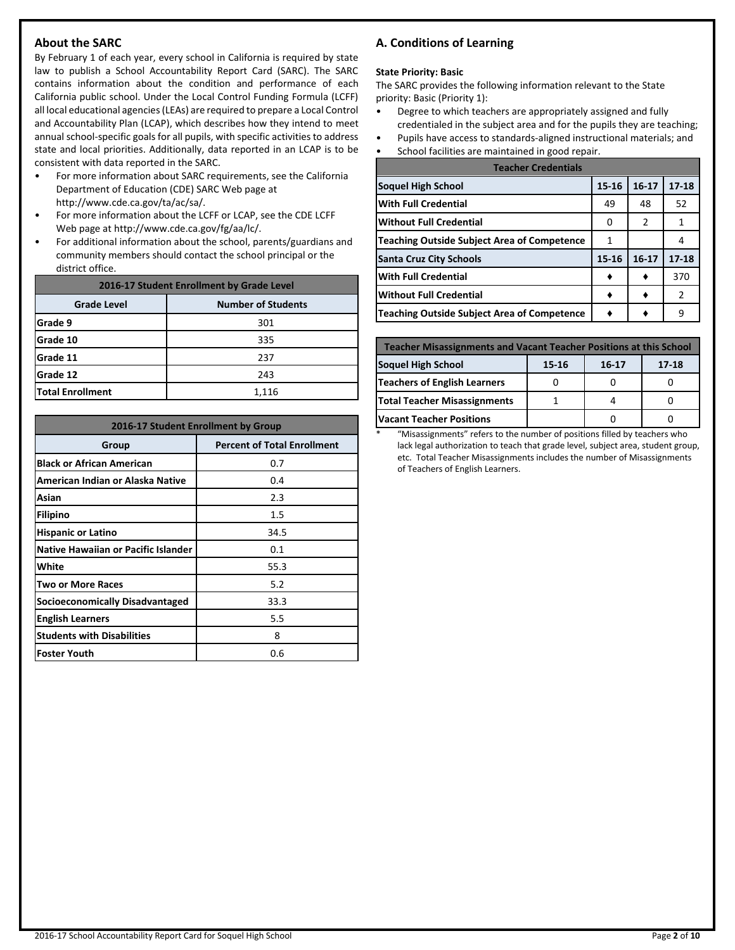# **About the SARC**

By February 1 of each year, every school in California is required by state law to publish a School Accountability Report Card (SARC). The SARC contains information about the condition and performance of each California public school. Under the Local Control Funding Formula (LCFF) all local educational agencies (LEAs) are required to prepare a Local Control and Accountability Plan (LCAP), which describes how they intend to meet annual school-specific goals for all pupils, with specific activities to address state and local priorities. Additionally, data reported in an LCAP is to be consistent with data reported in the SARC.

- For more information about SARC requirements, see the California Department of Education (CDE) SARC Web page at http://www.cde.ca.gov/ta/ac/sa/.
- For more information about the LCFF or LCAP, see the CDE LCFF Web page at http://www.cde.ca.gov/fg/aa/lc/.
- For additional information about the school, parents/guardians and community members should contact the school principal or the district office.

| 2016-17 Student Enrollment by Grade Level       |       |  |  |  |  |  |
|-------------------------------------------------|-------|--|--|--|--|--|
| <b>Number of Students</b><br><b>Grade Level</b> |       |  |  |  |  |  |
| Grade 9                                         | 301   |  |  |  |  |  |
| Grade 10                                        | 335   |  |  |  |  |  |
| Grade 11                                        | 237   |  |  |  |  |  |
| Grade 12                                        | 243   |  |  |  |  |  |
| <b>Total Enrollment</b>                         | 1,116 |  |  |  |  |  |

| 2016-17 Student Enrollment by Group        |                                    |  |  |  |  |
|--------------------------------------------|------------------------------------|--|--|--|--|
| Group                                      | <b>Percent of Total Enrollment</b> |  |  |  |  |
| <b>Black or African American</b>           | 0.7                                |  |  |  |  |
| American Indian or Alaska Native           | 0.4                                |  |  |  |  |
| Asian                                      | 2.3                                |  |  |  |  |
| <b>Filipino</b>                            | 1.5                                |  |  |  |  |
| <b>Hispanic or Latino</b>                  | 34.5                               |  |  |  |  |
| <b>Native Hawaiian or Pacific Islander</b> | 0.1                                |  |  |  |  |
| White                                      | 55.3                               |  |  |  |  |
| Two or More Races                          | 5.2                                |  |  |  |  |
| <b>Socioeconomically Disadvantaged</b>     | 33.3                               |  |  |  |  |
| <b>English Learners</b>                    | 5.5                                |  |  |  |  |
| <b>Students with Disabilities</b>          | 8                                  |  |  |  |  |
| lFoster Youth                              | 0.6                                |  |  |  |  |

# **A. Conditions of Learning**

#### **State Priority: Basic**

The SARC provides the following information relevant to the State priority: Basic (Priority 1):

- Degree to which teachers are appropriately assigned and fully credentialed in the subject area and for the pupils they are teaching;
- Pupils have access to standards-aligned instructional materials; and
- School facilities are maintained in good repair.

| <b>Teacher Credentials</b>                         |       |               |           |  |  |  |
|----------------------------------------------------|-------|---------------|-----------|--|--|--|
| Soquel High School                                 | 15-16 | $16 - 17$     | $17 - 18$ |  |  |  |
| <b>With Full Credential</b>                        | 49    | 48            | 52        |  |  |  |
| <b>Without Full Credential</b>                     | O     | $\mathcal{P}$ | 1         |  |  |  |
| <b>Teaching Outside Subject Area of Competence</b> | 1     |               |           |  |  |  |
| <b>Santa Cruz City Schools</b>                     | 15-16 | $16 - 17$     | $17 - 18$ |  |  |  |
| <b>With Full Credential</b>                        |       |               | 370       |  |  |  |
| <b>Without Full Credential</b>                     |       |               | 2         |  |  |  |
| <b>Teaching Outside Subject Area of Competence</b> |       |               | 9         |  |  |  |

| <b>Teacher Misassignments and Vacant Teacher Positions at this School</b> |  |  |  |  |  |  |  |  |
|---------------------------------------------------------------------------|--|--|--|--|--|--|--|--|
| Soquel High School<br>$17 - 18$<br>15-16<br>$16 - 17$                     |  |  |  |  |  |  |  |  |
| Teachers of English Learners                                              |  |  |  |  |  |  |  |  |
| <b>Total Teacher Misassignments</b>                                       |  |  |  |  |  |  |  |  |
| <b>Vacant Teacher Positions</b>                                           |  |  |  |  |  |  |  |  |

\* "Misassignments" refers to the number of positions filled by teachers who lack legal authorization to teach that grade level, subject area, student group, etc. Total Teacher Misassignments includes the number of Misassignments of Teachers of English Learners.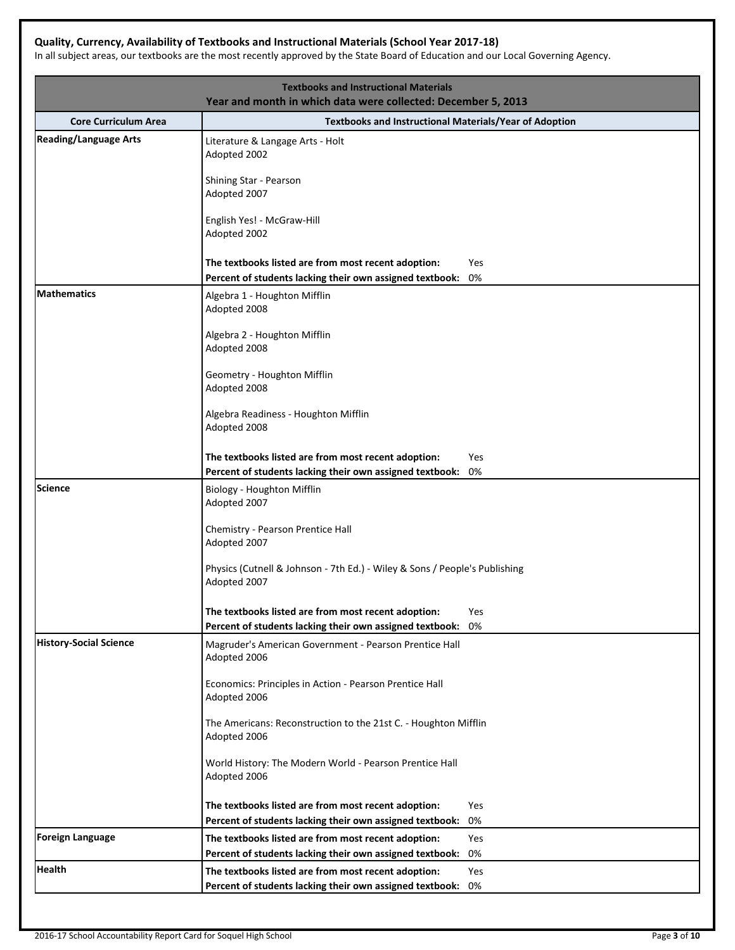# **Quality, Currency, Availability of Textbooks and Instructional Materials (School Year 2017-18)**

In all subject areas, our textbooks are the most recently approved by the State Board of Education and our Local Governing Agency.

| <b>Core Curriculum Area</b><br><b>Reading/Language Arts</b><br>Literature & Langage Arts - Holt<br>Adopted 2002<br>Shining Star - Pearson | <b>Textbooks and Instructional Materials/Year of Adoption</b> |
|-------------------------------------------------------------------------------------------------------------------------------------------|---------------------------------------------------------------|
|                                                                                                                                           |                                                               |
|                                                                                                                                           |                                                               |
| Adopted 2007                                                                                                                              |                                                               |
| English Yes! - McGraw-Hill<br>Adopted 2002                                                                                                |                                                               |
| The textbooks listed are from most recent adoption:<br>Percent of students lacking their own assigned textbook:                           | Yes<br>0%                                                     |
| <b>Mathematics</b><br>Algebra 1 - Houghton Mifflin<br>Adopted 2008                                                                        |                                                               |
| Algebra 2 - Houghton Mifflin<br>Adopted 2008                                                                                              |                                                               |
| Geometry - Houghton Mifflin<br>Adopted 2008                                                                                               |                                                               |
| Algebra Readiness - Houghton Mifflin<br>Adopted 2008                                                                                      |                                                               |
| The textbooks listed are from most recent adoption:<br>Percent of students lacking their own assigned textbook:                           | Yes<br>0%                                                     |
| <b>Science</b><br>Biology - Houghton Mifflin<br>Adopted 2007                                                                              |                                                               |
| Chemistry - Pearson Prentice Hall<br>Adopted 2007                                                                                         |                                                               |
| Physics (Cutnell & Johnson - 7th Ed.) - Wiley & Sons / People's Publishing<br>Adopted 2007                                                |                                                               |
| The textbooks listed are from most recent adoption:                                                                                       | Yes                                                           |
| Percent of students lacking their own assigned textbook:                                                                                  | 0%                                                            |
| <b>History-Social Science</b><br>Magruder's American Government - Pearson Prentice Hall<br>Adopted 2006                                   |                                                               |
| Economics: Principles in Action - Pearson Prentice Hall<br>Adopted 2006                                                                   |                                                               |
| The Americans: Reconstruction to the 21st C. - Houghton Mifflin<br>Adopted 2006                                                           |                                                               |
| World History: The Modern World - Pearson Prentice Hall<br>Adopted 2006                                                                   |                                                               |
| The textbooks listed are from most recent adoption:                                                                                       | Yes                                                           |
| Percent of students lacking their own assigned textbook:                                                                                  | 0%                                                            |
| <b>Foreign Language</b><br>The textbooks listed are from most recent adoption:                                                            | Yes                                                           |
| Percent of students lacking their own assigned textbook:                                                                                  | 0%                                                            |
| Health<br>The textbooks listed are from most recent adoption:                                                                             | Yes                                                           |
| Percent of students lacking their own assigned textbook:                                                                                  | 0%                                                            |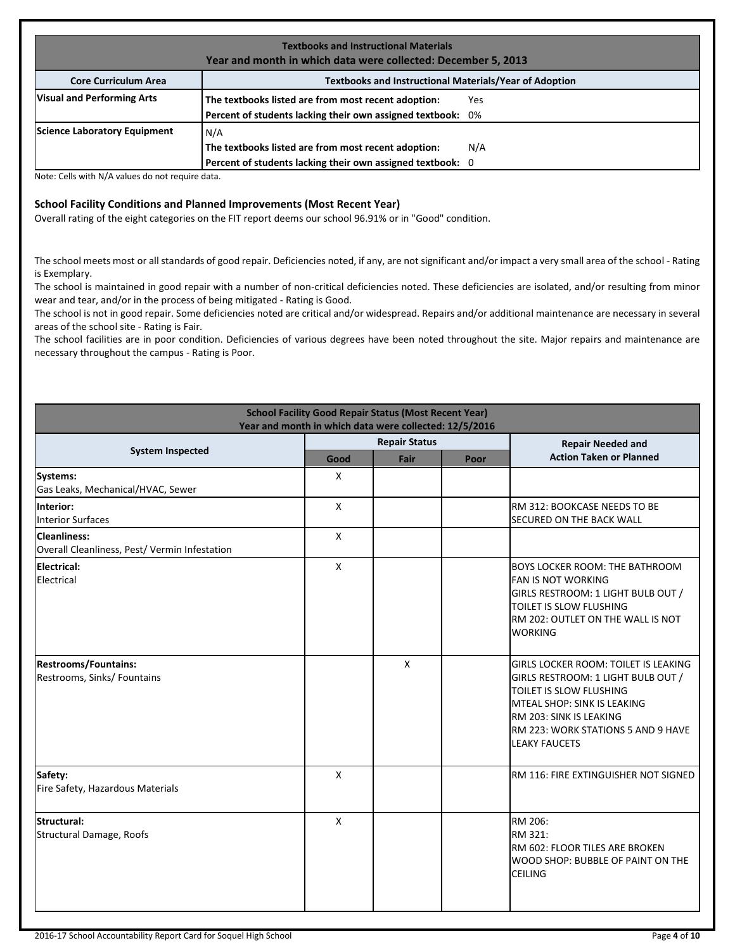| <b>Textbooks and Instructional Materials</b><br>Year and month in which data were collected: December 5, 2013 |                                                             |     |  |  |  |  |  |
|---------------------------------------------------------------------------------------------------------------|-------------------------------------------------------------|-----|--|--|--|--|--|
| <b>Textbooks and Instructional Materials/Year of Adoption</b><br><b>Core Curriculum Area</b>                  |                                                             |     |  |  |  |  |  |
| <b>Visual and Performing Arts</b>                                                                             | The textbooks listed are from most recent adoption:         | Yes |  |  |  |  |  |
|                                                                                                               | Percent of students lacking their own assigned textbook: 0% |     |  |  |  |  |  |
| Science Laboratory Equipment                                                                                  | N/A                                                         |     |  |  |  |  |  |
|                                                                                                               | The textbooks listed are from most recent adoption:         | N/A |  |  |  |  |  |
|                                                                                                               | Percent of students lacking their own assigned textbook: 0  |     |  |  |  |  |  |

Note: Cells with N/A values do not require data.

# **School Facility Conditions and Planned Improvements (Most Recent Year)**

Overall rating of the eight categories on the FIT report deems our school 96.91% or in "Good" condition.

The school meets most or all standards of good repair. Deficiencies noted, if any, are not significant and/or impact a very small area of the school - Rating is Exemplary.

The school is maintained in good repair with a number of non-critical deficiencies noted. These deficiencies are isolated, and/or resulting from minor wear and tear, and/or in the process of being mitigated - Rating is Good.

The school is not in good repair. Some deficiencies noted are critical and/or widespread. Repairs and/or additional maintenance are necessary in several areas of the school site - Rating is Fair.

The school facilities are in poor condition. Deficiencies of various degrees have been noted throughout the site. Major repairs and maintenance are necessary throughout the campus - Rating is Poor.

| <b>School Facility Good Repair Status (Most Recent Year)</b><br>Year and month in which data were collected: 12/5/2016 |              |                      |  |                                                                                                                                                                                                                               |  |  |
|------------------------------------------------------------------------------------------------------------------------|--------------|----------------------|--|-------------------------------------------------------------------------------------------------------------------------------------------------------------------------------------------------------------------------------|--|--|
|                                                                                                                        |              | <b>Repair Status</b> |  | <b>Repair Needed and</b>                                                                                                                                                                                                      |  |  |
| <b>System Inspected</b>                                                                                                | Good         | Fair<br>Poor         |  | <b>Action Taken or Planned</b>                                                                                                                                                                                                |  |  |
| Systems:<br>Gas Leaks, Mechanical/HVAC, Sewer                                                                          | X            |                      |  |                                                                                                                                                                                                                               |  |  |
| Interior:<br><b>Interior Surfaces</b>                                                                                  | $\mathsf{x}$ |                      |  | RM 312: BOOKCASE NEEDS TO BE<br>SECURED ON THE BACK WALL                                                                                                                                                                      |  |  |
| <b>Cleanliness:</b><br>Overall Cleanliness, Pest/ Vermin Infestation                                                   | $\mathsf{X}$ |                      |  |                                                                                                                                                                                                                               |  |  |
| <b>Electrical:</b><br>Electrical                                                                                       | $\mathsf{X}$ |                      |  | <b>BOYS LOCKER ROOM: THE BATHROOM</b><br><b>FAN IS NOT WORKING</b><br>GIRLS RESTROOM: 1 LIGHT BULB OUT /<br>TOILET IS SLOW FLUSHING<br>RM 202: OUTLET ON THE WALL IS NOT<br><b>WORKING</b>                                    |  |  |
| <b>Restrooms/Fountains:</b><br>Restrooms, Sinks/ Fountains                                                             |              | $\mathsf{X}$         |  | GIRLS LOCKER ROOM: TOILET IS LEAKING<br>GIRLS RESTROOM: 1 LIGHT BULB OUT /<br>TOILET IS SLOW FLUSHING<br>MTEAL SHOP: SINK IS LEAKING<br>RM 203: SINK IS LEAKING<br>RM 223: WORK STATIONS 5 AND 9 HAVE<br><b>LEAKY FAUCETS</b> |  |  |
| Safety:<br>Fire Safety, Hazardous Materials                                                                            | $\mathsf{x}$ |                      |  | RM 116: FIRE EXTINGUISHER NOT SIGNED                                                                                                                                                                                          |  |  |
| Structural:<br>Structural Damage, Roofs                                                                                | X            |                      |  | RM 206:<br>RM 321:<br>RM 602: FLOOR TILES ARE BROKEN<br>WOOD SHOP: BUBBLE OF PAINT ON THE<br><b>CEILING</b>                                                                                                                   |  |  |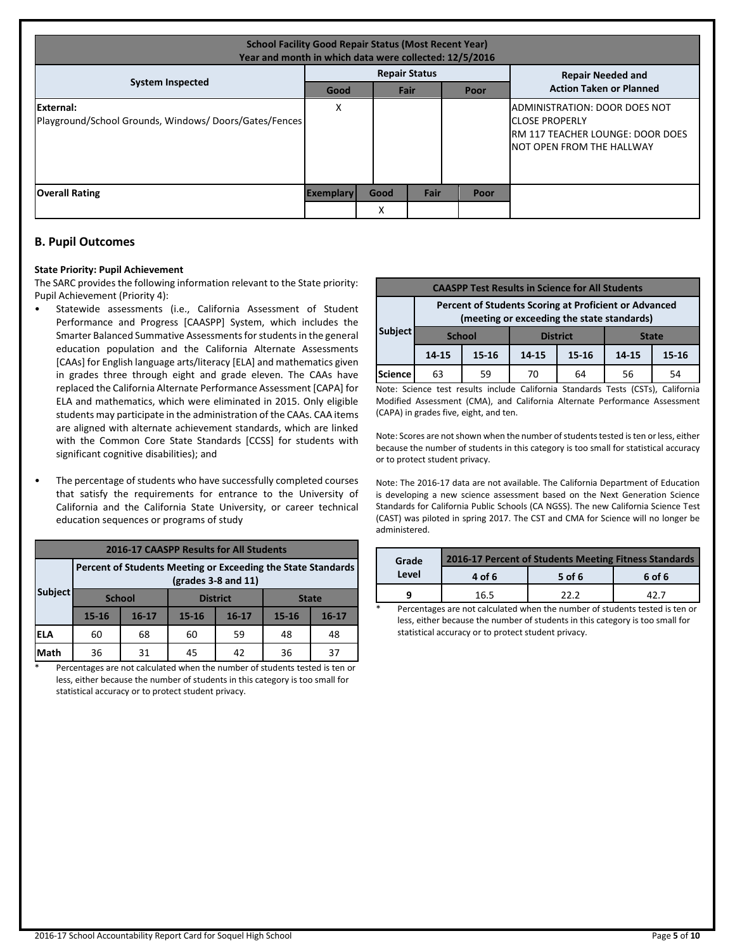| <b>School Facility Good Repair Status (Most Recent Year)</b><br>Year and month in which data were collected: 12/5/2016 |                      |      |      |  |                          |                                                                                                                                                  |  |
|------------------------------------------------------------------------------------------------------------------------|----------------------|------|------|--|--------------------------|--------------------------------------------------------------------------------------------------------------------------------------------------|--|
| <b>System Inspected</b>                                                                                                | <b>Repair Status</b> |      |      |  | <b>Repair Needed and</b> |                                                                                                                                                  |  |
|                                                                                                                        | Good                 |      | Fair |  | Poor                     | <b>Action Taken or Planned</b>                                                                                                                   |  |
| External:<br>Playground/School Grounds, Windows/Doors/Gates/Fences                                                     | X                    |      |      |  |                          | <b>JADMINISTRATION: DOOR DOES NOT</b><br><b>ICLOSE PROPERLY</b><br><b>IRM 117 TEACHER LOUNGE: DOOR DOES</b><br><b>INOT OPEN FROM THE HALLWAY</b> |  |
| <b>Overall Rating</b>                                                                                                  | <b>Exemplary</b>     | Good | Fair |  | Poor                     |                                                                                                                                                  |  |
|                                                                                                                        |                      | Χ    |      |  |                          |                                                                                                                                                  |  |

# **B. Pupil Outcomes**

#### **State Priority: Pupil Achievement**

The SARC provides the following information relevant to the State priority: Pupil Achievement (Priority 4):

- Statewide assessments (i.e., California Assessment of Student Performance and Progress [CAASPP] System, which includes the Smarter Balanced Summative Assessments for students in the general education population and the California Alternate Assessments [CAAs] for English language arts/literacy [ELA] and mathematics given in grades three through eight and grade eleven. The CAAs have replaced the California Alternate Performance Assessment [CAPA] for ELA and mathematics, which were eliminated in 2015. Only eligible students may participate in the administration of the CAAs. CAA items are aligned with alternate achievement standards, which are linked with the Common Core State Standards [CCSS] for students with significant cognitive disabilities); and
- The percentage of students who have successfully completed courses that satisfy the requirements for entrance to the University of California and the California State University, or career technical education sequences or programs of study

| 2016-17 CAASPP Results for All Students |                                                                                       |           |           |                 |           |              |  |  |
|-----------------------------------------|---------------------------------------------------------------------------------------|-----------|-----------|-----------------|-----------|--------------|--|--|
|                                         | Percent of Students Meeting or Exceeding the State Standards<br>$(grades 3-8 and 11)$ |           |           |                 |           |              |  |  |
| <b>Subject</b>                          | <b>School</b>                                                                         |           |           | <b>District</b> |           | <b>State</b> |  |  |
|                                         | 15-16                                                                                 | $16 - 17$ | $15 - 16$ | $16 - 17$       | $15 - 16$ | $16 - 17$    |  |  |
| ELA                                     | 60                                                                                    | 68        | 59<br>60  |                 | 48        | 48           |  |  |
| Math                                    | 36                                                                                    | 31        | 45        | 42              | 36        | 37           |  |  |

Percentages are not calculated when the number of students tested is ten or less, either because the number of students in this category is too small for statistical accuracy or to protect student privacy.

| <b>CAASPP Test Results in Science for All Students</b>                                              |               |           |                                 |          |       |       |  |  |
|-----------------------------------------------------------------------------------------------------|---------------|-----------|---------------------------------|----------|-------|-------|--|--|
| Percent of Students Scoring at Proficient or Advanced<br>(meeting or exceeding the state standards) |               |           |                                 |          |       |       |  |  |
| Subject                                                                                             | <b>School</b> |           | <b>District</b><br><b>State</b> |          |       |       |  |  |
|                                                                                                     | 14-15         | $15 - 16$ | $15 - 16$<br>14-15              |          | 14-15 | 15-16 |  |  |
| <b>Science</b>                                                                                      | 63            | 59        | 70                              | 56<br>64 |       |       |  |  |

Note: Science test results include California Standards Tests (CSTs), California Modified Assessment (CMA), and California Alternate Performance Assessment (CAPA) in grades five, eight, and ten.

Note: Scores are not shown when the number of students tested is ten or less, either because the number of students in this category is too small for statistical accuracy or to protect student privacy.

Note: The 2016-17 data are not available. The California Department of Education is developing a new science assessment based on the Next Generation Science Standards for California Public Schools (CA NGSS). The new California Science Test (CAST) was piloted in spring 2017. The CST and CMA for Science will no longer be administered.

| Grade           | 2016-17 Percent of Students Meeting Fitness Standards |        |  |  |  |  |
|-----------------|-------------------------------------------------------|--------|--|--|--|--|
| Level<br>4 of 6 | 5 of 6                                                | 6 of 6 |  |  |  |  |
| 16.5            | วว ว                                                  |        |  |  |  |  |

Percentages are not calculated when the number of students tested is ten or less, either because the number of students in this category is too small for statistical accuracy or to protect student privacy.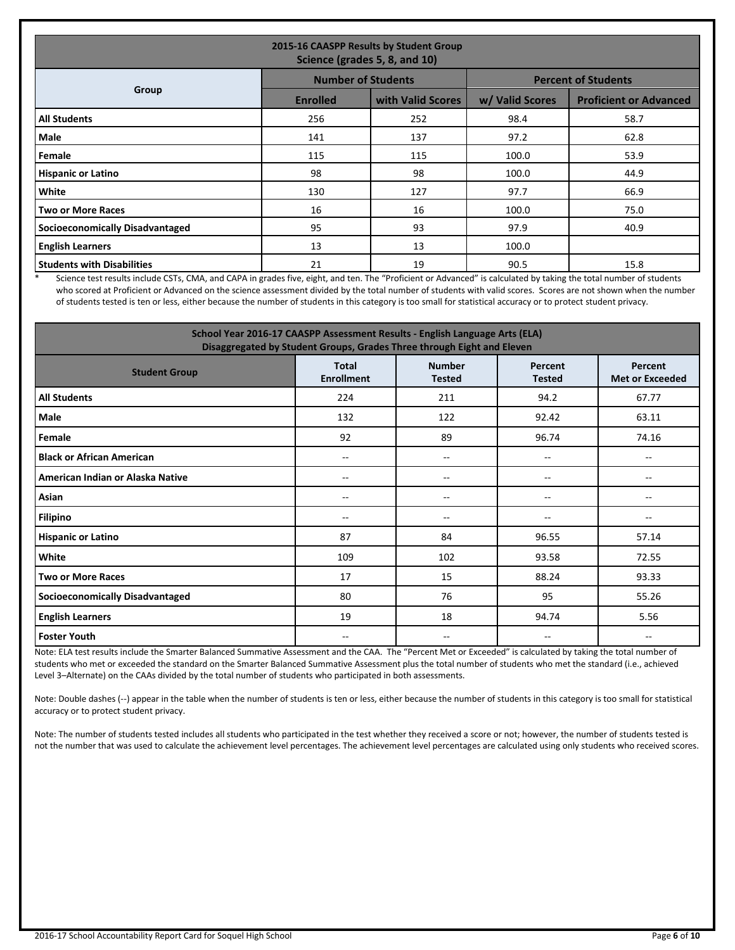| 2015-16 CAASPP Results by Student Group<br>Science (grades 5, 8, and 10) |                           |                   |                            |                               |  |  |  |
|--------------------------------------------------------------------------|---------------------------|-------------------|----------------------------|-------------------------------|--|--|--|
|                                                                          | <b>Number of Students</b> |                   | <b>Percent of Students</b> |                               |  |  |  |
| Group                                                                    | <b>Enrolled</b>           | with Valid Scores | w/ Valid Scores            | <b>Proficient or Advanced</b> |  |  |  |
| <b>All Students</b>                                                      | 256                       | 252               | 98.4                       | 58.7                          |  |  |  |
| Male                                                                     | 141                       | 137               | 97.2                       | 62.8                          |  |  |  |
| Female                                                                   | 115                       | 115               | 100.0                      | 53.9                          |  |  |  |
| <b>Hispanic or Latino</b>                                                | 98                        | 98                | 100.0                      | 44.9                          |  |  |  |
| <b>White</b>                                                             | 130                       | 127               | 97.7                       | 66.9                          |  |  |  |
| <b>Two or More Races</b>                                                 | 16                        | 16                | 100.0                      | 75.0                          |  |  |  |
| <b>Socioeconomically Disadvantaged</b>                                   | 95                        | 93                | 97.9                       | 40.9                          |  |  |  |
| <b>English Learners</b>                                                  | 13                        | 13                | 100.0                      |                               |  |  |  |
| <b>Students with Disabilities</b>                                        | 21                        | 19                | 90.5                       | 15.8                          |  |  |  |

Science test results include CSTs, CMA, and CAPA in grades five, eight, and ten. The "Proficient or Advanced" is calculated by taking the total number of students who scored at Proficient or Advanced on the science assessment divided by the total number of students with valid scores. Scores are not shown when the number of students tested is ten or less, either because the number of students in this category is too small for statistical accuracy or to protect student privacy.

| School Year 2016-17 CAASPP Assessment Results - English Language Arts (ELA)<br>Disaggregated by Student Groups, Grades Three through Eight and Eleven |                                   |                                |                          |                                   |  |
|-------------------------------------------------------------------------------------------------------------------------------------------------------|-----------------------------------|--------------------------------|--------------------------|-----------------------------------|--|
| <b>Student Group</b>                                                                                                                                  | <b>Total</b><br><b>Enrollment</b> | <b>Number</b><br><b>Tested</b> | Percent<br><b>Tested</b> | Percent<br><b>Met or Exceeded</b> |  |
| <b>All Students</b>                                                                                                                                   | 224                               | 211                            | 94.2                     | 67.77                             |  |
| Male                                                                                                                                                  | 132                               | 122                            | 92.42                    | 63.11                             |  |
| Female                                                                                                                                                | 92                                | 89                             | 96.74                    | 74.16                             |  |
| <b>Black or African American</b>                                                                                                                      | $\overline{\phantom{m}}$          | $-$                            | --                       | $-$                               |  |
| American Indian or Alaska Native                                                                                                                      | $\overline{\phantom{a}}$          | ۰.                             | --                       | --                                |  |
| Asian                                                                                                                                                 | $-$                               | $-$                            | $-$                      | $\overline{a}$                    |  |
| <b>Filipino</b>                                                                                                                                       | $-$                               | $- -$                          | $- -$                    | --                                |  |
| <b>Hispanic or Latino</b>                                                                                                                             | 87                                | 84                             | 96.55                    | 57.14                             |  |
| White                                                                                                                                                 | 109                               | 102                            | 93.58                    | 72.55                             |  |
| <b>Two or More Races</b>                                                                                                                              | 17                                | 15                             | 88.24                    | 93.33                             |  |
| <b>Socioeconomically Disadvantaged</b>                                                                                                                | 80                                | 76                             | 95                       | 55.26                             |  |
| <b>English Learners</b>                                                                                                                               | 19                                | 18                             | 94.74                    | 5.56                              |  |
| <b>Foster Youth</b>                                                                                                                                   | $\overline{\phantom{a}}$          | ۰.                             | --                       | $\overline{\phantom{a}}$          |  |

Note: ELA test results include the Smarter Balanced Summative Assessment and the CAA. The "Percent Met or Exceeded" is calculated by taking the total number of students who met or exceeded the standard on the Smarter Balanced Summative Assessment plus the total number of students who met the standard (i.e., achieved Level 3–Alternate) on the CAAs divided by the total number of students who participated in both assessments.

Note: Double dashes (--) appear in the table when the number of students is ten or less, either because the number of students in this category is too small for statistical accuracy or to protect student privacy.

Note: The number of students tested includes all students who participated in the test whether they received a score or not; however, the number of students tested is not the number that was used to calculate the achievement level percentages. The achievement level percentages are calculated using only students who received scores.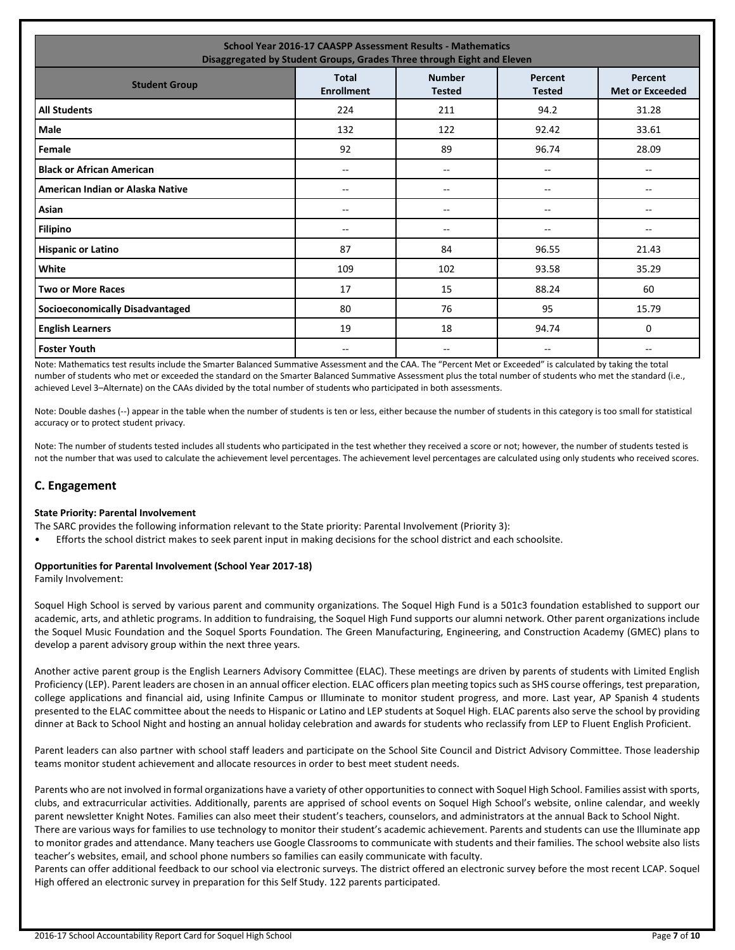| <b>School Year 2016-17 CAASPP Assessment Results - Mathematics</b><br>Disaggregated by Student Groups, Grades Three through Eight and Eleven |                                   |                                |                          |                                       |  |
|----------------------------------------------------------------------------------------------------------------------------------------------|-----------------------------------|--------------------------------|--------------------------|---------------------------------------|--|
| <b>Student Group</b>                                                                                                                         | <b>Total</b><br><b>Enrollment</b> | <b>Number</b><br><b>Tested</b> | Percent<br><b>Tested</b> | Percent<br><b>Met or Exceeded</b>     |  |
| <b>All Students</b>                                                                                                                          | 224                               | 211                            | 94.2                     | 31.28                                 |  |
| <b>Male</b>                                                                                                                                  | 132                               | 122                            | 92.42                    | 33.61                                 |  |
| Female                                                                                                                                       | 92                                | 89                             | 96.74                    | 28.09                                 |  |
| <b>Black or African American</b>                                                                                                             | $-$                               | --                             | --                       | $\overline{\phantom{a}}$              |  |
| American Indian or Alaska Native                                                                                                             | --                                | --                             | --                       | --                                    |  |
| Asian                                                                                                                                        | --                                | --                             | --                       | $\hspace{0.05cm}$ – $\hspace{0.05cm}$ |  |
| <b>Filipino</b>                                                                                                                              | --                                | --                             | --                       | --                                    |  |
| <b>Hispanic or Latino</b>                                                                                                                    | 87                                | 84                             | 96.55                    | 21.43                                 |  |
| White                                                                                                                                        | 109                               | 102                            | 93.58                    | 35.29                                 |  |
| <b>Two or More Races</b>                                                                                                                     | 17                                | 15                             | 88.24                    | 60                                    |  |
| <b>Socioeconomically Disadvantaged</b>                                                                                                       | 80                                | 76                             | 95                       | 15.79                                 |  |
| <b>English Learners</b>                                                                                                                      | 19                                | 18                             | 94.74                    | 0                                     |  |
| <b>Foster Youth</b>                                                                                                                          | $-$                               | --                             | --                       | $- -$                                 |  |

Note: Mathematics test results include the Smarter Balanced Summative Assessment and the CAA. The "Percent Met or Exceeded" is calculated by taking the total number of students who met or exceeded the standard on the Smarter Balanced Summative Assessment plus the total number of students who met the standard (i.e., achieved Level 3–Alternate) on the CAAs divided by the total number of students who participated in both assessments.

Note: Double dashes (--) appear in the table when the number of students is ten or less, either because the number of students in this category is too small for statistical accuracy or to protect student privacy.

Note: The number of students tested includes all students who participated in the test whether they received a score or not; however, the number of students tested is not the number that was used to calculate the achievement level percentages. The achievement level percentages are calculated using only students who received scores.

# **C. Engagement**

## **State Priority: Parental Involvement**

The SARC provides the following information relevant to the State priority: Parental Involvement (Priority 3):

• Efforts the school district makes to seek parent input in making decisions for the school district and each schoolsite.

#### **Opportunities for Parental Involvement (School Year 2017-18)**

Family Involvement:

Soquel High School is served by various parent and community organizations. The Soquel High Fund is a 501c3 foundation established to support our academic, arts, and athletic programs. In addition to fundraising, the Soquel High Fund supports our alumni network. Other parent organizations include the Soquel Music Foundation and the Soquel Sports Foundation. The Green Manufacturing, Engineering, and Construction Academy (GMEC) plans to develop a parent advisory group within the next three years.

Another active parent group is the English Learners Advisory Committee (ELAC). These meetings are driven by parents of students with Limited English Proficiency (LEP). Parent leaders are chosen in an annual officer election. ELAC officers plan meeting topics such as SHS course offerings, test preparation, college applications and financial aid, using Infinite Campus or Illuminate to monitor student progress, and more. Last year, AP Spanish 4 students presented to the ELAC committee about the needs to Hispanic or Latino and LEP students at Soquel High. ELAC parents also serve the school by providing dinner at Back to School Night and hosting an annual holiday celebration and awards for students who reclassify from LEP to Fluent English Proficient.

Parent leaders can also partner with school staff leaders and participate on the School Site Council and District Advisory Committee. Those leadership teams monitor student achievement and allocate resources in order to best meet student needs.

Parents who are not involved in formal organizations have a variety of other opportunities to connect with Soquel High School. Families assist with sports, clubs, and extracurricular activities. Additionally, parents are apprised of school events on Soquel High School's website, online calendar, and weekly parent newsletter Knight Notes. Families can also meet their student's teachers, counselors, and administrators at the annual Back to School Night.

There are various ways for families to use technology to monitor their student's academic achievement. Parents and students can use the Illuminate app to monitor grades and attendance. Many teachers use Google Classrooms to communicate with students and their families. The school website also lists teacher's websites, email, and school phone numbers so families can easily communicate with faculty.

Parents can offer additional feedback to our school via electronic surveys. The district offered an electronic survey before the most recent LCAP. Soquel High offered an electronic survey in preparation for this Self Study. 122 parents participated.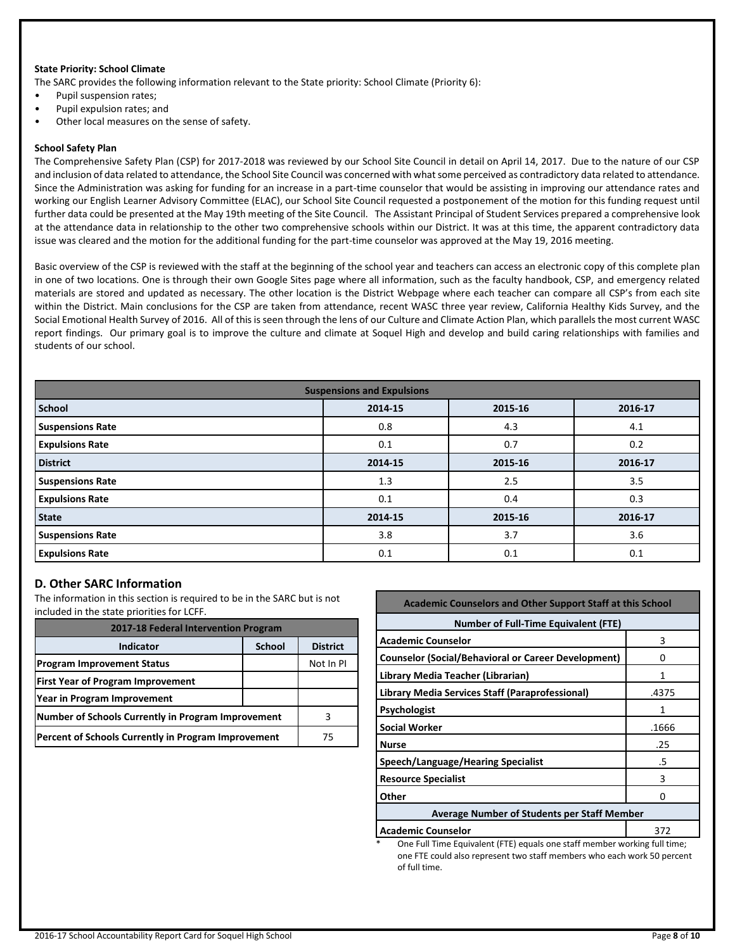#### **State Priority: School Climate**

The SARC provides the following information relevant to the State priority: School Climate (Priority 6):

- Pupil suspension rates;
- Pupil expulsion rates; and
- Other local measures on the sense of safety.

#### **School Safety Plan**

The Comprehensive Safety Plan (CSP) for 2017-2018 was reviewed by our School Site Council in detail on April 14, 2017. Due to the nature of our CSP and inclusion of data related to attendance, the School Site Council was concerned with what some perceived as contradictory data related to attendance. Since the Administration was asking for funding for an increase in a part-time counselor that would be assisting in improving our attendance rates and working our English Learner Advisory Committee (ELAC), our School Site Council requested a postponement of the motion for this funding request until further data could be presented at the May 19th meeting of the Site Council. The Assistant Principal of Student Services prepared a comprehensive look at the attendance data in relationship to the other two comprehensive schools within our District. It was at this time, the apparent contradictory data issue was cleared and the motion for the additional funding for the part-time counselor was approved at the May 19, 2016 meeting.

Basic overview of the CSP is reviewed with the staff at the beginning of the school year and teachers can access an electronic copy of this complete plan in one of two locations. One is through their own Google Sites page where all information, such as the faculty handbook, CSP, and emergency related materials are stored and updated as necessary. The other location is the District Webpage where each teacher can compare all CSP's from each site within the District. Main conclusions for the CSP are taken from attendance, recent WASC three year review, California Healthy Kids Survey, and the Social Emotional Health Survey of 2016. All of this is seen through the lens of our Culture and Climate Action Plan, which parallels the most current WASC report findings. Our primary goal is to improve the culture and climate at Soquel High and develop and build caring relationships with families and students of our school.

| <b>Suspensions and Expulsions</b> |         |         |         |  |  |
|-----------------------------------|---------|---------|---------|--|--|
| <b>School</b>                     | 2014-15 | 2015-16 | 2016-17 |  |  |
| <b>Suspensions Rate</b>           | 0.8     | 4.3     | 4.1     |  |  |
| <b>Expulsions Rate</b>            | 0.1     | 0.7     | 0.2     |  |  |
| <b>District</b>                   | 2014-15 | 2015-16 | 2016-17 |  |  |
| <b>Suspensions Rate</b>           | 1.3     | 2.5     | 3.5     |  |  |
| <b>Expulsions Rate</b>            | 0.1     | 0.4     | 0.3     |  |  |
| <b>State</b>                      | 2014-15 | 2015-16 | 2016-17 |  |  |
| <b>Suspensions Rate</b>           | 3.8     | 3.7     | 3.6     |  |  |
| <b>Expulsions Rate</b>            | 0.1     | 0.1     | 0.1     |  |  |

# **D. Other SARC Information**

The information in this section is required to be in the SARC but is not included in the state priorities for LCFF.

| 2017-18 Federal Intervention Program                |               |                 |  |  |
|-----------------------------------------------------|---------------|-----------------|--|--|
| <b>Indicator</b>                                    | <b>School</b> | <b>District</b> |  |  |
| <b>Program Improvement Status</b>                   |               | Not In PI       |  |  |
| <b>First Year of Program Improvement</b>            |               |                 |  |  |
| Year in Program Improvement                         |               |                 |  |  |
| Number of Schools Currently in Program Improvement  |               |                 |  |  |
| Percent of Schools Currently in Program Improvement |               | 75              |  |  |

| <b>Academic Counselors and Other Support Staff at this School</b> |       |  |  |  |
|-------------------------------------------------------------------|-------|--|--|--|
| <b>Number of Full-Time Equivalent (FTE)</b>                       |       |  |  |  |
| <b>Academic Counselor</b>                                         | 3     |  |  |  |
| <b>Counselor (Social/Behavioral or Career Development)</b>        | O     |  |  |  |
| Library Media Teacher (Librarian)                                 |       |  |  |  |
| Library Media Services Staff (Paraprofessional)                   | .4375 |  |  |  |
| <b>Psychologist</b>                                               | 1     |  |  |  |
| <b>Social Worker</b>                                              | .1666 |  |  |  |
| <b>Nurse</b>                                                      | .25   |  |  |  |
| Speech/Language/Hearing Specialist                                | .5    |  |  |  |
| <b>Resource Specialist</b>                                        | 3     |  |  |  |
| Other<br>O                                                        |       |  |  |  |
| <b>Average Number of Students per Staff Member</b>                |       |  |  |  |
| <b>Academic Counselor</b>                                         | 372   |  |  |  |

One Full Time Equivalent (FTE) equals one staff member working full time; one FTE could also represent two staff members who each work 50 percent of full time.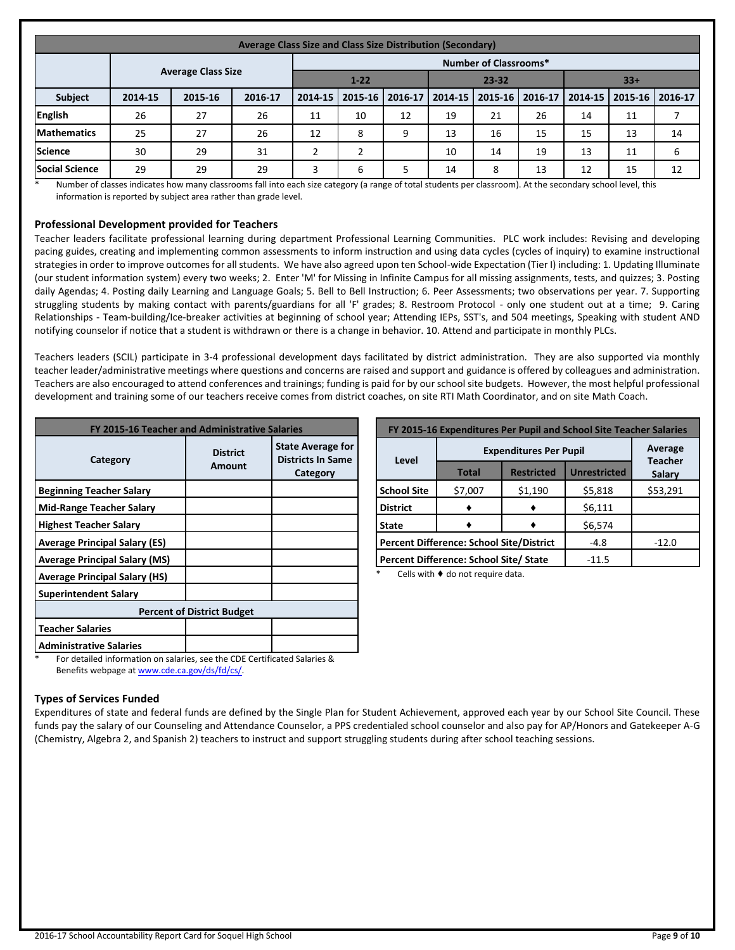| Average Class Size and Class Size Distribution (Secondary) |         |                           |         |         |                                |                   |         |         |         |         |                 |    |
|------------------------------------------------------------|---------|---------------------------|---------|---------|--------------------------------|-------------------|---------|---------|---------|---------|-----------------|----|
| <b>Number of Classrooms*</b>                               |         |                           |         |         |                                |                   |         |         |         |         |                 |    |
|                                                            |         | <b>Average Class Size</b> |         |         | $23 - 32$<br>$1 - 22$<br>$33+$ |                   |         |         |         |         |                 |    |
| <b>Subject</b>                                             | 2014-15 | 2015-16                   | 2016-17 | 2014-15 |                                | 2015-16   2016-17 | 2014-15 | 2015-16 | 2016-17 | 2014-15 | 2015-16 2016-17 |    |
| <b>English</b>                                             | 26      | 27                        | 26      | 11      | 10                             | 12                | 19      | 21      | 26      | 14      | 11              |    |
| <b>Mathematics</b>                                         | 25      | 27                        | 26      | 12      | 8                              | 9                 | 13      | 16      | 15      | 15      | 13              | 14 |
| <b>Science</b>                                             | 30      | 29                        | 31      | ∍       |                                |                   | 10      | 14      | 19      | 13      | 11              | 6  |
| <b>Social Science</b>                                      | 29      | 29                        | 29      | 3       | 6                              |                   | 14      | 8       | 13      | 12      | 15              | 12 |

\* Number of classes indicates how many classrooms fall into each size category (a range of total students per classroom). At the secondary school level, this information is reported by subject area rather than grade level.

# **Professional Development provided for Teachers**

Teacher leaders facilitate professional learning during department Professional Learning Communities. PLC work includes: Revising and developing pacing guides, creating and implementing common assessments to inform instruction and using data cycles (cycles of inquiry) to examine instructional strategies in order to improve outcomes for all students. We have also agreed upon ten School-wide Expectation (Tier I) including: 1. Updating Illuminate (our student information system) every two weeks; 2. Enter 'M' for Missing in Infinite Campus for all missing assignments, tests, and quizzes; 3. Posting daily Agendas; 4. Posting daily Learning and Language Goals; 5. Bell to Bell Instruction; 6. Peer Assessments; two observations per year. 7. Supporting struggling students by making contact with parents/guardians for all 'F' grades; 8. Restroom Protocol - only one student out at a time; 9. Caring Relationships - Team-building/Ice-breaker activities at beginning of school year; Attending IEPs, SST's, and 504 meetings, Speaking with student AND notifying counselor if notice that a student is withdrawn or there is a change in behavior. 10. Attend and participate in monthly PLCs.

Teachers leaders (SCIL) participate in 3-4 professional development days facilitated by district administration. They are also supported via monthly teacher leader/administrative meetings where questions and concerns are raised and support and guidance is offered by colleagues and administration. Teachers are also encouraged to attend conferences and trainings; funding is paid for by our school site budgets. However, the most helpful professional development and training some of our teachers receive comes from district coaches, on site RTI Math Coordinator, and on site Math Coach.

| FY 2015-16 Teacher and Administrative Salaries |                                   |                                                                  |  |  |  |
|------------------------------------------------|-----------------------------------|------------------------------------------------------------------|--|--|--|
| Category                                       | <b>District</b><br><b>Amount</b>  | <b>State Average for</b><br><b>Districts In Same</b><br>Category |  |  |  |
| <b>Beginning Teacher Salary</b>                |                                   |                                                                  |  |  |  |
| <b>Mid-Range Teacher Salary</b>                |                                   |                                                                  |  |  |  |
| <b>Highest Teacher Salary</b>                  |                                   |                                                                  |  |  |  |
| <b>Average Principal Salary (ES)</b>           |                                   |                                                                  |  |  |  |
| <b>Average Principal Salary (MS)</b>           |                                   |                                                                  |  |  |  |
| <b>Average Principal Salary (HS)</b>           |                                   |                                                                  |  |  |  |
| <b>Superintendent Salary</b>                   |                                   |                                                                  |  |  |  |
|                                                | <b>Percent of District Budget</b> |                                                                  |  |  |  |
| <b>Teacher Salaries</b>                        |                                   |                                                                  |  |  |  |
| <b>Administrative Salaries</b><br>.            |                                   |                                                                  |  |  |  |

| FY 2015-16 Expenditures Per Pupil and School Site Teacher Salaries |              |                                          |                           |          |  |
|--------------------------------------------------------------------|--------------|------------------------------------------|---------------------------|----------|--|
| Level                                                              |              | <b>Expenditures Per Pupil</b>            | Average<br><b>Teacher</b> |          |  |
|                                                                    | <b>Total</b> | <b>Unrestricted</b><br><b>Restricted</b> |                           |          |  |
| <b>School Site</b>                                                 | \$7,007      | \$1,190                                  | \$5,818                   | \$53,291 |  |
| <b>District</b>                                                    |              |                                          | \$6,111                   |          |  |
| <b>State</b>                                                       |              | \$6,574                                  |                           |          |  |
| <b>Percent Difference: School Site/District</b>                    |              |                                          | $-4.8$                    | $-12.0$  |  |
| Percent Difference: School Site/ State                             |              |                                          | $-11.5$                   |          |  |

Cells with  $\blacklozenge$  do not require data.

For detailed information on salaries, see the CDE Certificated Salaries & Benefits webpage a[t www.cde.ca.gov/ds/fd/cs/.](http://www.cde.ca.gov/ds/fd/cs/)

## **Types of Services Funded**

Expenditures of state and federal funds are defined by the Single Plan for Student Achievement, approved each year by our School Site Council. These funds pay the salary of our Counseling and Attendance Counselor, a PPS credentialed school counselor and also pay for AP/Honors and Gatekeeper A-G (Chemistry, Algebra 2, and Spanish 2) teachers to instruct and support struggling students during after school teaching sessions.